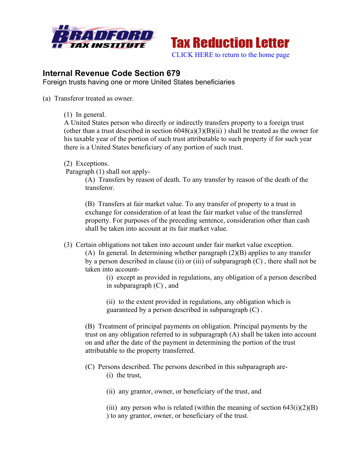



## **Internal Revenue Code Section 679**

Foreign trusts having one or more United States beneficiaries

(a) Transferor treated as owner.

(1) In general.

A United States person who directly or indirectly transfers property to a foreign trust (other than a trust described in section  $6048(a)(3)(B)(ii)$ ) shall be treated as the owner for his taxable year of the portion of such trust attributable to such property if for such year there is a United States beneficiary of any portion of such trust.

(2) Exceptions.

Paragraph (1) shall not apply-

(A) Transfers by reason of death. To any transfer by reason of the death of the transferor.

(B) Transfers at fair market value. To any transfer of property to a trust in exchange for consideration of at least the fair market value of the transferred property. For purposes of the preceding sentence, consideration other than cash shall be taken into account at its fair market value.

(3) Certain obligations not taken into account under fair market value exception.

(A) In general. In determining whether paragraph (2)(B) applies to any transfer by a person described in clause (ii) or (iii) of subparagraph (C) , there shall not be taken into account-

(i) except as provided in regulations, any obligation of a person described in subparagraph (C) , and

(ii) to the extent provided in regulations, any obligation which is guaranteed by a person described in subparagraph (C) .

(B) Treatment of principal payments on obligation. Principal payments by the trust on any obligation referred to in subparagraph (A) shall be taken into account on and after the date of the payment in determining the portion of the trust attributable to the property transferred.

- (C) Persons described. The persons described in this subparagraph are- (i) the trust,
	- (ii) any grantor, owner, or beneficiary of the trust, and
	- (iii) any person who is related (within the meaning of section  $643(i)(2)(B)$ ) ) to any grantor, owner, or beneficiary of the trust.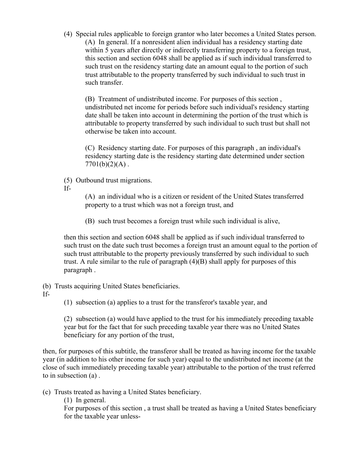(4) Special rules applicable to foreign grantor who later becomes a United States person. (A) In general. If a nonresident alien individual has a residency starting date within 5 years after directly or indirectly transferring property to a foreign trust, this section and section 6048 shall be applied as if such individual transferred to such trust on the residency starting date an amount equal to the portion of such trust attributable to the property transferred by such individual to such trust in such transfer.

(B) Treatment of undistributed income. For purposes of this section , undistributed net income for periods before such individual's residency starting date shall be taken into account in determining the portion of the trust which is attributable to property transferred by such individual to such trust but shall not otherwise be taken into account.

(C) Residency starting date. For purposes of this paragraph , an individual's residency starting date is the residency starting date determined under section  $7701(b)(2)(A)$ .

(5) Outbound trust migrations.

If-

(A) an individual who is a citizen or resident of the United States transferred property to a trust which was not a foreign trust, and

(B) such trust becomes a foreign trust while such individual is alive,

then this section and section 6048 shall be applied as if such individual transferred to such trust on the date such trust becomes a foreign trust an amount equal to the portion of such trust attributable to the property previously transferred by such individual to such trust. A rule similar to the rule of paragraph  $(4)(B)$  shall apply for purposes of this paragraph .

(b) Trusts acquiring United States beneficiaries.

If-

(1) subsection (a) applies to a trust for the transferor's taxable year, and

(2) subsection (a) would have applied to the trust for his immediately preceding taxable year but for the fact that for such preceding taxable year there was no United States beneficiary for any portion of the trust,

then, for purposes of this subtitle, the transferor shall be treated as having income for the taxable year (in addition to his other income for such year) equal to the undistributed net income (at the close of such immediately preceding taxable year) attributable to the portion of the trust referred to in subsection (a) .

(c) Trusts treated as having a United States beneficiary.

(1) In general.

For purposes of this section , a trust shall be treated as having a United States beneficiary for the taxable year unless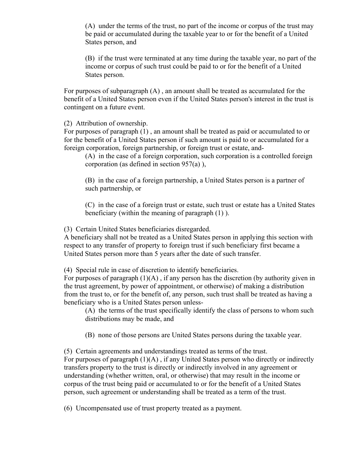(A) under the terms of the trust, no part of the income or corpus of the trust may be paid or accumulated during the taxable year to or for the benefit of a United States person, and

(B) if the trust were terminated at any time during the taxable year, no part of the income or corpus of such trust could be paid to or for the benefit of a United States person.

For purposes of subparagraph (A) , an amount shall be treated as accumulated for the benefit of a United States person even if the United States person's interest in the trust is contingent on a future event.

(2) Attribution of ownership.

For purposes of paragraph (1) , an amount shall be treated as paid or accumulated to or for the benefit of a United States person if such amount is paid to or accumulated for a foreign corporation, foreign partnership, or foreign trust or estate, and-

(A) in the case of a foreign corporation, such corporation is a controlled foreign corporation (as defined in section 957(a) ),

(B) in the case of a foreign partnership, a United States person is a partner of such partnership, or

(C) in the case of a foreign trust or estate, such trust or estate has a United States beneficiary (within the meaning of paragraph (1) ).

(3) Certain United States beneficiaries disregarded.

A beneficiary shall not be treated as a United States person in applying this section with respect to any transfer of property to foreign trust if such beneficiary first became a United States person more than 5 years after the date of such transfer.

(4) Special rule in case of discretion to identify beneficiaries.

For purposes of paragraph  $(1)(A)$ , if any person has the discretion (by authority given in the trust agreement, by power of appointment, or otherwise) of making a distribution from the trust to, or for the benefit of, any person, such trust shall be treated as having a beneficiary who is a United States person unless-

(A) the terms of the trust specifically identify the class of persons to whom such distributions may be made, and

(B) none of those persons are United States persons during the taxable year.

(5) Certain agreements and understandings treated as terms of the trust.

For purposes of paragraph  $(1)(A)$ , if any United States person who directly or indirectly transfers property to the trust is directly or indirectly involved in any agreement or understanding (whether written, oral, or otherwise) that may result in the income or corpus of the trust being paid or accumulated to or for the benefit of a United States person, such agreement or understanding shall be treated as a term of the trust.

(6) Uncompensated use of trust property treated as a payment.